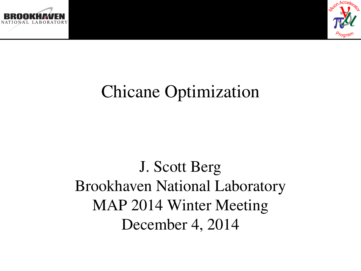



# Chicane Optimization

J. Scott Berg Brookhaven National Laboratory MAP 2014 Winter Meeting December 4, 2014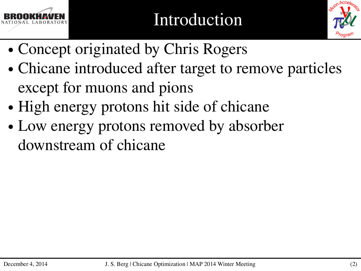



- ∙ Concept originated by Chris Rogers
- ∙ Chicane introduced after target to remove particles except for muons and pions
- ∙ High energy protons hit side of chicane
- ∙ Low energy protons removed by absorber downstream of chicane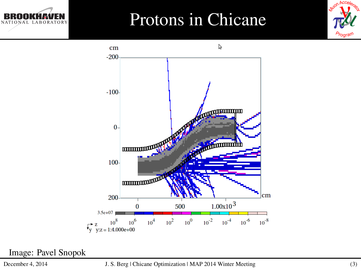### Protons in Chicane





Image: Pavel Snopok

LABORATORY

NATIONAL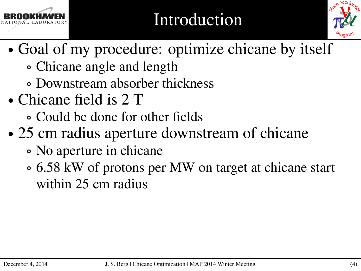

## Introduction



- ∙ Goal of my procedure: optimize chicane by itself
	- ∘ Chicane angle and length
	- ∘ Downstream absorber thickness
- ∙ Chicane field is 2 T
	- ∘ Could be done for other fields
- ∙ 25 cm radius aperture downstream of chicane
	- ∘ No aperture in chicane
	- ∘ 6.58 kW of protons per MW on target at chicane start within 25 cm radius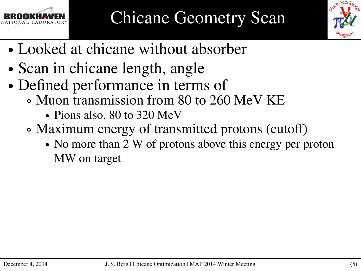



- ∙ Looked at chicane without absorber
- ∙ Scan in chicane length, angle
- ∙ Defined performance in terms of
	- ∘ Muon transmission from 80 to 260 MeV KE
		- ∙ Pions also, 80 to 320 MeV
	- ∘ Maximum energy of transmitted protons (cutoff)
		- ∙ No more than 2 W of protons above this energy per proton MW on target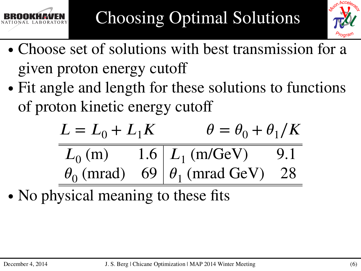



- ∙ Choose set of solutions with best transmission for a given proton energy cutoff
- ∙ Fit angle and length for these solutions to functions of proton kinetic energy cutoff

$$
L = L_0 + L_1 K
$$
  
\n
$$
L_0 (m)
$$
  
\n1.6  
\n
$$
L_1 (m/\text{GeV})
$$
  
\n9.1  
\n
$$
\theta_0 (mrad)
$$
  
\n69  
\n
$$
\theta_1 (mrad \text{ GeV})
$$
  
\n28

• No physical meaning to these fits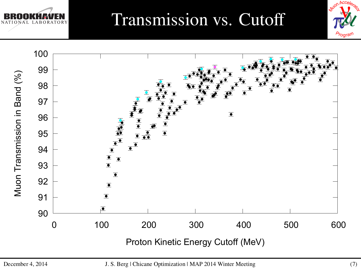

## Transmission vs. Cutoff



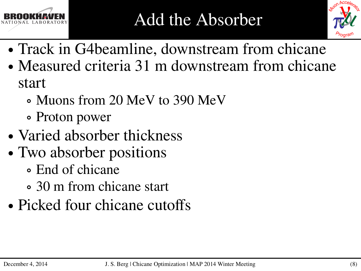



- ∙ Track in G4beamline, downstream from chicane
- ∙ Measured criteria 31 m downstream from chicane start
	- ∘ Muons from 20 MeV to 390 MeV
	- ∘ Proton power
- ∙ Varied absorber thickness
- ∙ Two absorber positions
	- ∘ End of chicane
	- ∘ 30 m from chicane start
- ∙ Picked four chicane cutoffs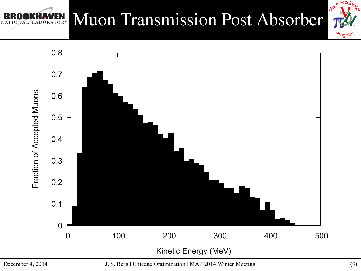#### Muon Transmission Post Absorber BORATORY



Muon Accelerato

*Program*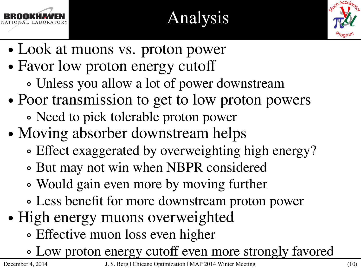

# Analysis



- ∙ Look at muons vs. proton power
- ∙ Favor low proton energy cutoff
	- ∘ Unless you allow a lot of power downstream
- ∙ Poor transmission to get to low proton powers ∘ Need to pick tolerable proton power
- ∙ Moving absorber downstream helps
	- ∘ Effect exaggerated by overweighting high energy?
	- ∘ But may not win when NBPR considered
	- ∘ Would gain even more by moving further
	- ∘ Less benefit for more downstream proton power
- ∙ High energy muons overweighted
	- ∘ Effective muon loss even higher
	- ∘ Low proton energy cutoff even more strongly favored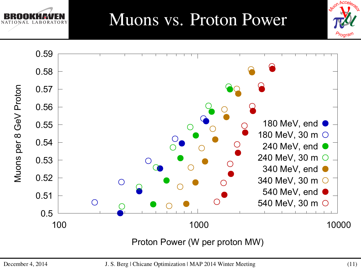



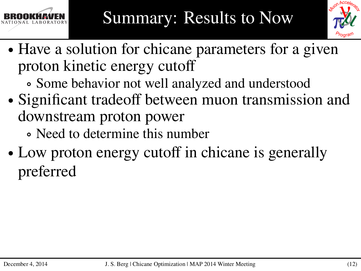



- ∙ Have a solution for chicane parameters for a given proton kinetic energy cutoff
	- ∘ Some behavior not well analyzed and understood
- ∙ Significant tradeoff between muon transmission and downstream proton power
	- ∘ Need to determine this number
- ∙ Low proton energy cutoff in chicane is generally preferred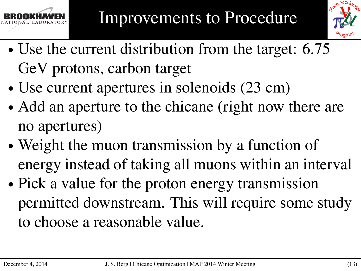



- ∙ Use the current distribution from the target: 6.75 GeV protons, carbon target
- ∙ Use current apertures in solenoids (23 cm)
- ∙ Add an aperture to the chicane (right now there are no apertures)
- ∙ Weight the muon transmission by a function of energy instead of taking all muons within an interval
- ∙ Pick a value for the proton energy transmission permitted downstream. This will require some study to choose a reasonable value.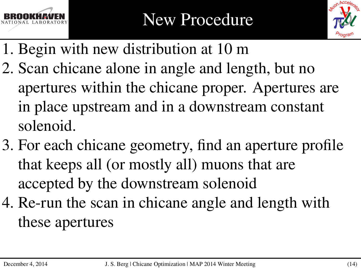



- 1. Begin with new distribution at 10 m
- 2. Scan chicane alone in angle and length, but no apertures within the chicane proper. Apertures are in place upstream and in a downstream constant solenoid.
- 3. For each chicane geometry, find an aperture profile that keeps all (or mostly all) muons that are accepted by the downstream solenoid
- 4. Re-run the scan in chicane angle and length with these apertures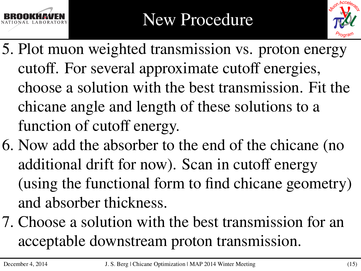



- 5. Plot muon weighted transmission vs. proton energy cutoff. For several approximate cutoff energies, choose a solution with the best transmission. Fit the chicane angle and length of these solutions to a function of cutoff energy.
- 6. Now add the absorber to the end of the chicane (no additional drift for now). Scan in cutoff energy (using the functional form to find chicane geometry) and absorber thickness.
- 7. Choose a solution with the best transmission for an acceptable downstream proton transmission.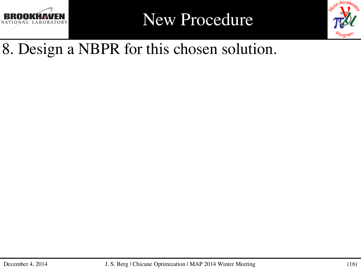

New Procedure



#### 8. Design a NBPR for this chosen solution.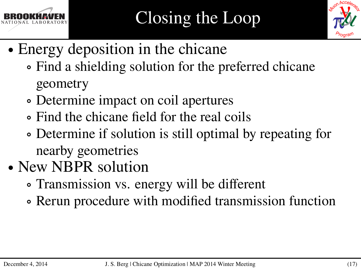



- ∙ Energy deposition in the chicane
	- ∘ Find a shielding solution for the preferred chicane geometry
	- ∘ Determine impact on coil apertures
	- ∘ Find the chicane field for the real coils
	- ∘ Determine if solution is still optimal by repeating for nearby geometries
- ∙ New NBPR solution
	- ∘ Transmission vs. energy will be different
	- ∘ Rerun procedure with modified transmission function